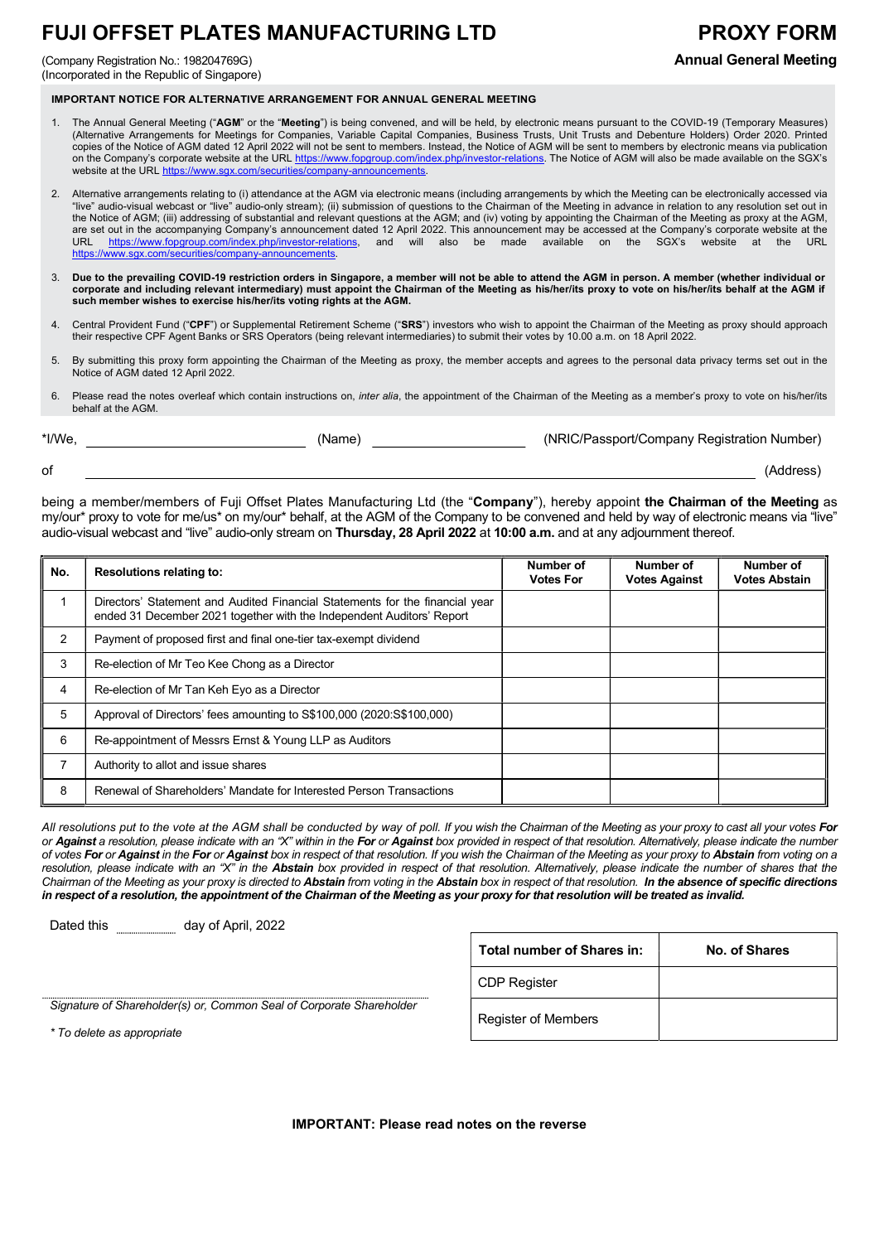## FUJI OFFSET PLATES MANUFACTURING LTD PROXY FORM

(Company Registration No.: 198204769G) Annual General Meeting (Incorporated in the Republic of Singapore)

IMPORTANT NOTICE FOR ALTERNATIVE ARRANGEMENT FOR ANNUAL GENERAL MEETING

- 1. The Annual General Meeting ("AGM" or the "Meeting") is being convened, and will be held, by electronic means pursuant to the COVID-19 (Temporary Measures) (Alternative Arrangements for Meetings for Companies, Variable Capital Companies, Business Trusts, Unit Trusts and Debenture Holders) Order 2020. Printed copies of the Notice of AGM dated 12 April 2022 will not be sent to members. Instead, the Notice of AGM will be sent to members by electronic means via publication on the Company's corporate website at the URL https://www.fopgroup.com/index.php/investor-relations. The Notice of AGM will also be made available on the SGX's website at the URL https://www.sqx.com/securities/company-announcements.
- 2. Alternative arrangements relating to (i) attendance at the AGM via electronic means (including arrangements by which the Meeting can be electronically accessed via "live" audio-visual webcast or "live" audio-only stream); (ii) submission of questions to the Chairman of the Meeting in advance in relation to any resolution set out in the Notice of AGM; (iii) addressing of substantial and relevant questions at the AGM; and (iv) voting by appointing the Chairman of the Meeting as proxy at the AGM, are set out in the accompanying Company's announcement dated 12 April 2022. This announcement may be accessed at the Company's corporate website at the URL https://www.fopgroup.com/index.php/investor-relations, and will also be made available on the SGX's website at the URL https://www.sgx.com/securities/company-announcements.
- Due to the prevailing COVID-19 restriction orders in Singapore, a member will not be able to attend the AGM in person. A member (whether individual or corporate and including relevant intermediary) must appoint the Chairman of the Meeting as his/her/its proxy to vote on his/her/its behalf at the AGM if such member wishes to exercise his/her/its voting rights at the AGM.
- 4. Central Provident Fund ("CPF") or Supplemental Retirement Scheme ("SRS") investors who wish to appoint the Chairman of the Meeting as proxy should approach their respective CPF Agent Banks or SRS Operators (being relevant intermediaries) to submit their votes by 10.00 a.m. on 18 April 2022.
- 5. By submitting this proxy form appointing the Chairman of the Meeting as proxy, the member accepts and agrees to the personal data privacy terms set out in the Notice of AGM dated 12 April 2022.
- 6. Please read the notes overleaf which contain instructions on, inter alia, the appointment of the Chairman of the Meeting as a member's proxy to vote on his/her/its behalf at the AGM.

| *I/We, | (Name) | (NRIC/Passport/Company Registration Number) |
|--------|--------|---------------------------------------------|
| οf     |        | (Address)                                   |

being a member/members of Fuji Offset Plates Manufacturing Ltd (the "Company"), hereby appoint the Chairman of the Meeting as my/our\* proxy to vote for me/us\* on my/our\* behalf, at the AGM of the Company to be convened and held by way of electronic means via "live" audio-visual webcast and "live" audio-only stream on Thursday, 28 April 2022 at 10:00 a.m. and at any adjournment thereof.

| No.           | <b>Resolutions relating to:</b>                                                                                                                       | Number of<br><b>Votes For</b> | Number of<br><b>Votes Against</b> | Number of<br><b>Votes Abstain</b> |
|---------------|-------------------------------------------------------------------------------------------------------------------------------------------------------|-------------------------------|-----------------------------------|-----------------------------------|
|               | Directors' Statement and Audited Financial Statements for the financial year<br>ended 31 December 2021 together with the Independent Auditors' Report |                               |                                   |                                   |
| $\mathcal{P}$ | Payment of proposed first and final one-tier tax-exempt dividend                                                                                      |                               |                                   |                                   |
| 3             | Re-election of Mr Teo Kee Chong as a Director                                                                                                         |                               |                                   |                                   |
| 4             | Re-election of Mr Tan Keh Eyo as a Director                                                                                                           |                               |                                   |                                   |
| 5             | Approval of Directors' fees amounting to S\$100,000 (2020:S\$100,000)                                                                                 |                               |                                   |                                   |
| 6             | Re-appointment of Messrs Ernst & Young LLP as Auditors                                                                                                |                               |                                   |                                   |
|               | Authority to allot and issue shares                                                                                                                   |                               |                                   |                                   |
| 8             | Renewal of Shareholders' Mandate for Interested Person Transactions                                                                                   |                               |                                   |                                   |

All resolutions put to the vote at the AGM shall be conducted by way of poll. If you wish the Chairman of the Meeting as your proxy to cast all your votes For or Against a resolution, please indicate with an "X" within in the For or Against box provided in respect of that resolution. Alternatively, please indicate the number of votes For or Against in the For or Against box in respect of that resolution. If you wish the Chairman of the Meeting as your proxy to Abstain from voting on a resolution, please indicate with an "X" in the Abstain box provided in respect of that resolution. Alternatively, please indicate the number of shares that the Chairman of the Meeting as your proxy is directed to Abstain from voting in the Abstain box in respect of that resolution. In the absence of specific directions in respect of a resolution, the appointment of the Chairman of the Meeting as your proxy for that resolution will be treated as invalid.

Dated this **manually day of April**, 2022

|                                                                       | Total number of Shares in: | No. of Shares |
|-----------------------------------------------------------------------|----------------------------|---------------|
|                                                                       | <b>CDP Register</b>        |               |
| hareholder(s) or, Common Seal of Corporate Shareholder<br>annronriate | <b>Register of Members</b> |               |

Signature of Shareholder(s) or, Common Seal of Corporate Shareholder

\* To delete as appropriate

IMPORTANT: Please read notes on the reverse